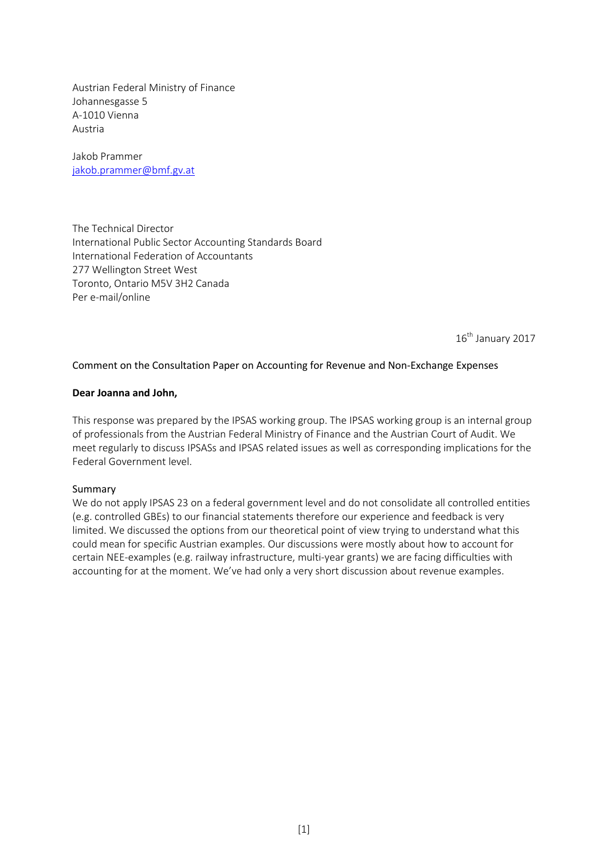Austrian Federal Ministry of Finance Johannesgasse 5 A-1010 Vienna Austria

Jakob Prammer jakob.pramme[r@bmf.gv.at](mailto:Sandra.kaiser@bmf.gv.at)

The Technical Director International Public Sector Accounting Standards Board International Federation of Accountants 277 Wellington Street West Toronto, Ontario M5V 3H2 Canada Per e-mail/online

16<sup>th</sup> January 2017

# Comment on the Consultation Paper on Accounting for Revenue and Non-Exchange Expenses

### **Dear Joanna and John,**

This response was prepared by the IPSAS working group. The IPSAS working group is an internal group of professionals from the Austrian Federal Ministry of Finance and the Austrian Court of Audit. We meet regularly to discuss IPSASs and IPSAS related issues as well as corresponding implications for the Federal Government level.

#### Summary

We do not apply IPSAS 23 on a federal government level and do not consolidate all controlled entities (e.g. controlled GBEs) to our financial statements therefore our experience and feedback is very limited. We discussed the options from our theoretical point of view trying to understand what this could mean for specific Austrian examples. Our discussions were mostly about how to account for certain NEE-examples (e.g. railway infrastructure, multi-year grants) we are facing difficulties with accounting for at the moment. We've had only a very short discussion about revenue examples.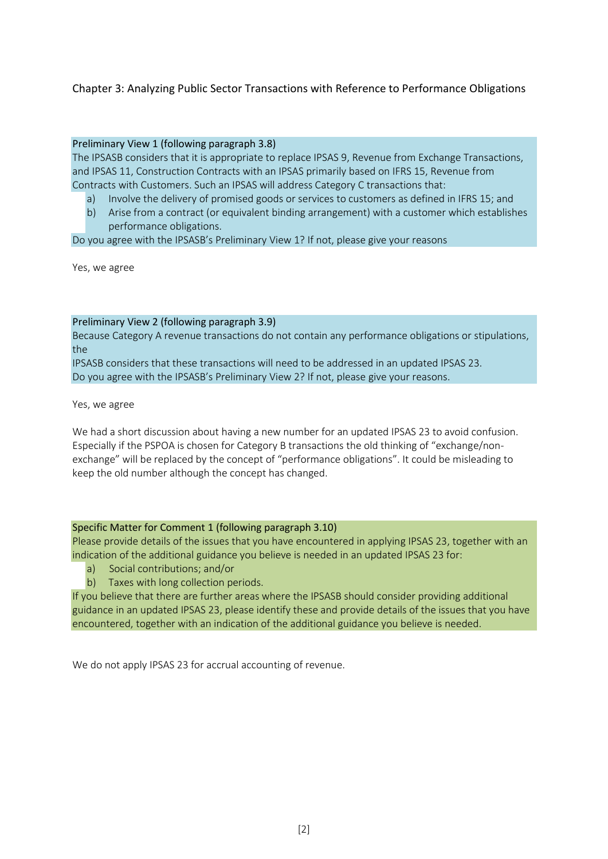# Chapter 3: Analyzing Public Sector Transactions with Reference to Performance Obligations

## Preliminary View 1 (following paragraph 3.8)

The IPSASB considers that it is appropriate to replace IPSAS 9, Revenue from Exchange Transactions, and IPSAS 11, Construction Contracts with an IPSAS primarily based on IFRS 15, Revenue from Contracts with Customers. Such an IPSAS will address Category C transactions that:

- a) Involve the delivery of promised goods or services to customers as defined in IFRS 15; and
- b) Arise from a contract (or equivalent binding arrangement) with a customer which establishes performance obligations.

Do you agree with the IPSASB's Preliminary View 1? If not, please give your reasons

Yes, we agree

### Preliminary View 2 (following paragraph 3.9)

Because Category A revenue transactions do not contain any performance obligations or stipulations, the

IPSASB considers that these transactions will need to be addressed in an updated IPSAS 23. Do you agree with the IPSASB's Preliminary View 2? If not, please give your reasons.

Yes, we agree

We had a short discussion about having a new number for an updated IPSAS 23 to avoid confusion. Especially if the PSPOA is chosen for Category B transactions the old thinking of "exchange/nonexchange" will be replaced by the concept of "performance obligations". It could be misleading to keep the old number although the concept has changed.

# Specific Matter for Comment 1 (following paragraph 3.10)

Please provide details of the issues that you have encountered in applying IPSAS 23, together with an indication of the additional guidance you believe is needed in an updated IPSAS 23 for:

- a) Social contributions; and/or
- b) Taxes with long collection periods.

If you believe that there are further areas where the IPSASB should consider providing additional guidance in an updated IPSAS 23, please identify these and provide details of the issues that you have encountered, together with an indication of the additional guidance you believe is needed.

We do not apply IPSAS 23 for accrual accounting of revenue.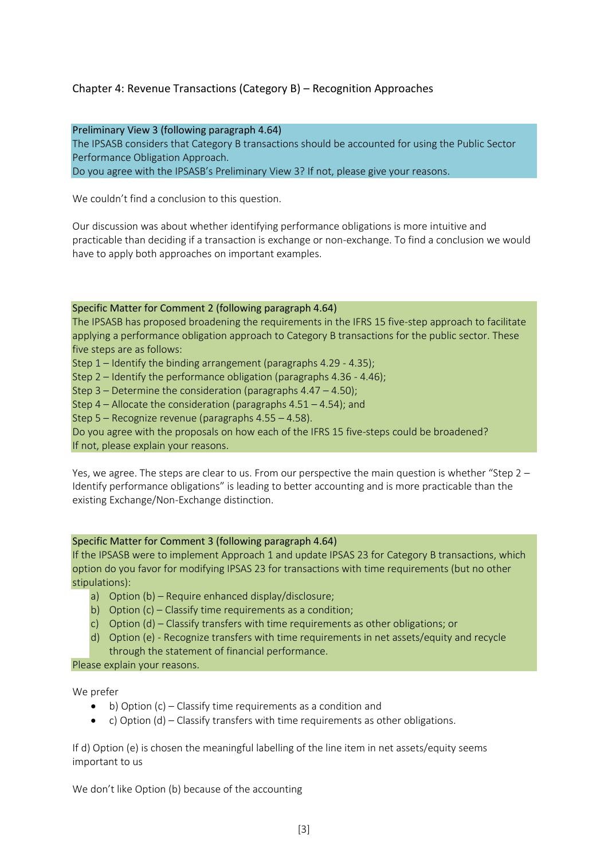# Chapter 4: Revenue Transactions (Category B) – Recognition Approaches

## Preliminary View 3 (following paragraph 4.64)

The IPSASB considers that Category B transactions should be accounted for using the Public Sector Performance Obligation Approach.

Do you agree with the IPSASB's Preliminary View 3? If not, please give your reasons.

We couldn't find a conclusion to this question.

Our discussion was about whether identifying performance obligations is more intuitive and practicable than deciding if a transaction is exchange or non-exchange. To find a conclusion we would have to apply both approaches on important examples.

### Specific Matter for Comment 2 (following paragraph 4.64)

The IPSASB has proposed broadening the requirements in the IFRS 15 five-step approach to facilitate applying a performance obligation approach to Category B transactions for the public sector. These five steps are as follows:

Step 1 – Identify the binding arrangement (paragraphs 4.29 - 4.35);

Step 2 – Identify the performance obligation (paragraphs 4.36 - 4.46);

Step 3 – Determine the consideration (paragraphs 4.47 – 4.50);

Step 4 – Allocate the consideration (paragraphs 4.51 – 4.54); and

Step 5 – Recognize revenue (paragraphs 4.55 – 4.58).

Do you agree with the proposals on how each of the IFRS 15 five-steps could be broadened? If not, please explain your reasons.

Yes, we agree. The steps are clear to us. From our perspective the main question is whether "Step 2 – Identify performance obligations" is leading to better accounting and is more practicable than the existing Exchange/Non-Exchange distinction.

# Specific Matter for Comment 3 (following paragraph 4.64)

If the IPSASB were to implement Approach 1 and update IPSAS 23 for Category B transactions, which option do you favor for modifying IPSAS 23 for transactions with time requirements (but no other stipulations):

- a) Option (b) Require enhanced display/disclosure;
- b) Option (c) Classify time requirements as a condition;
- c) Option (d) Classify transfers with time requirements as other obligations; or
- d) Option (e) Recognize transfers with time requirements in net assets/equity and recycle through the statement of financial performance.

Please explain your reasons.

We prefer

- b) Option (c) Classify time requirements as a condition and
- c) Option (d) Classify transfers with time requirements as other obligations.

If d) Option (e) is chosen the meaningful labelling of the line item in net assets/equity seems important to us

We don't like Option (b) because of the accounting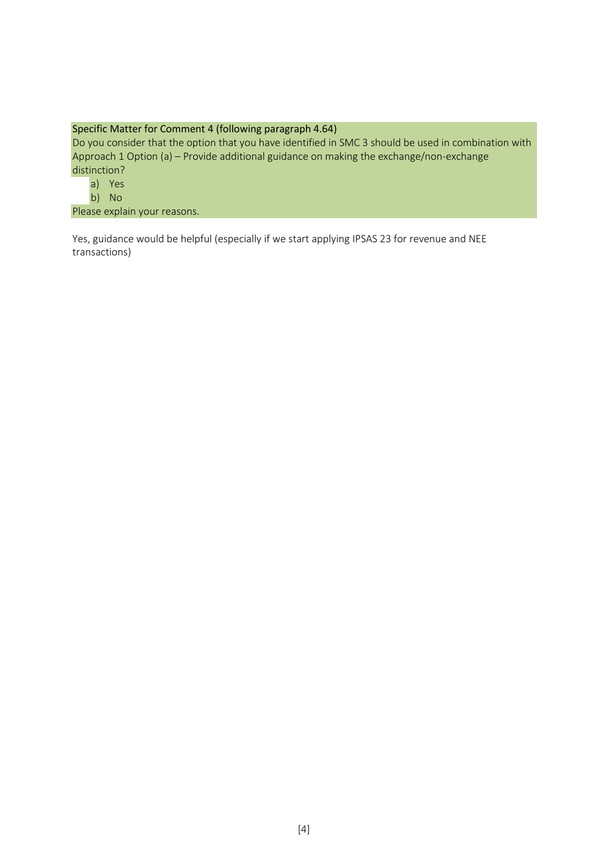# Specific Matter for Comment 4 (following paragraph 4.64)

Do you consider that the option that you have identified in SMC 3 should be used in combination with Approach 1 Option (a) – Provide additional guidance on making the exchange/non-exchange distinction?

- a) Yes
- b) No

Please explain your reasons.

Yes, guidance would be helpful (especially if we start applying IPSAS 23 for revenue and NEE transactions)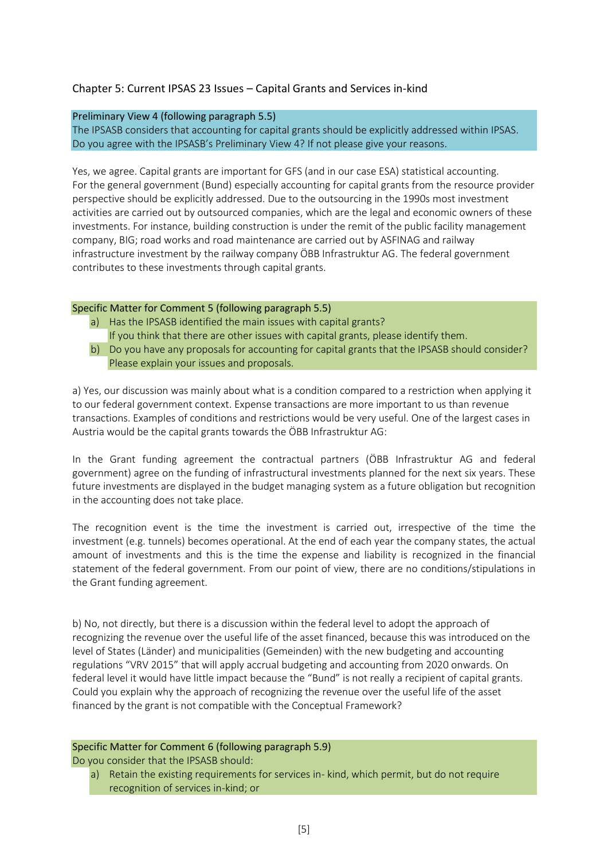# Chapter 5: Current IPSAS 23 Issues – Capital Grants and Services in-kind

## Preliminary View 4 (following paragraph 5.5)

The IPSASB considers that accounting for capital grants should be explicitly addressed within IPSAS. Do you agree with the IPSASB's Preliminary View 4? If not please give your reasons.

Yes, we agree. Capital grants are important for GFS (and in our case ESA) statistical accounting. For the general government (Bund) especially accounting for capital grants from the resource provider perspective should be explicitly addressed. Due to the outsourcing in the 1990s most investment activities are carried out by outsourced companies, which are the legal and economic owners of these investments. For instance, building construction is under the remit of the public facility management company, BIG; road works and road maintenance are carried out by ASFINAG and railway infrastructure investment by the railway company ÖBB Infrastruktur AG. The federal government contributes to these investments through capital grants.

## Specific Matter for Comment 5 (following paragraph 5.5)

- a) Has the IPSASB identified the main issues with capital grants? If you think that there are other issues with capital grants, please identify them.
- b) Do you have any proposals for accounting for capital grants that the IPSASB should consider? Please explain your issues and proposals.

a) Yes, our discussion was mainly about what is a condition compared to a restriction when applying it to our federal government context. Expense transactions are more important to us than revenue transactions. Examples of conditions and restrictions would be very useful. One of the largest cases in Austria would be the capital grants towards the ÖBB Infrastruktur AG:

In the Grant funding agreement the contractual partners (ÖBB Infrastruktur AG and federal government) agree on the funding of infrastructural investments planned for the next six years. These future investments are displayed in the budget managing system as a future obligation but recognition in the accounting does not take place.

The recognition event is the time the investment is carried out, irrespective of the time the investment (e.g. tunnels) becomes operational. At the end of each year the company states, the actual amount of investments and this is the time the expense and liability is recognized in the financial statement of the federal government. From our point of view, there are no conditions/stipulations in the Grant funding agreement.

b) No, not directly, but there is a discussion within the federal level to adopt the approach of recognizing the revenue over the useful life of the asset financed, because this was introduced on the level of States (Länder) and municipalities (Gemeinden) with the new budgeting and accounting regulations "VRV 2015" that will apply accrual budgeting and accounting from 2020 onwards. On federal level it would have little impact because the "Bund" is not really a recipient of capital grants. Could you explain why the approach of recognizing the revenue over the useful life of the asset financed by the grant is not compatible with the Conceptual Framework?

## Specific Matter for Comment 6 (following paragraph 5.9)

Do you consider that the IPSASB should:

a) Retain the existing requirements for services in- kind, which permit, but do not require recognition of services in-kind; or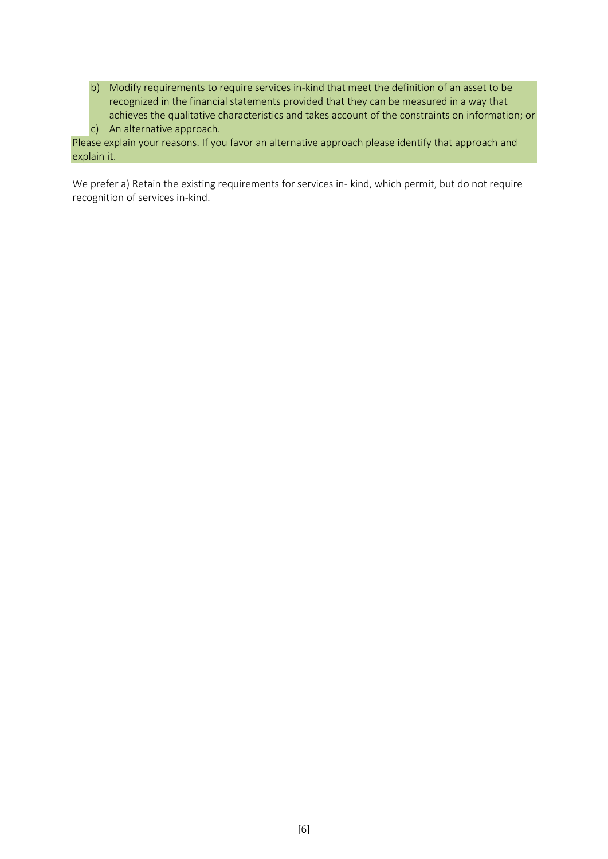b) Modify requirements to require services in-kind that meet the definition of an asset to be recognized in the financial statements provided that they can be measured in a way that achieves the qualitative characteristics and takes account of the constraints on information; or c) An alternative approach.

Please explain your reasons. If you favor an alternative approach please identify that approach and explain it.

We prefer a) Retain the existing requirements for services in- kind, which permit, but do not require recognition of services in-kind.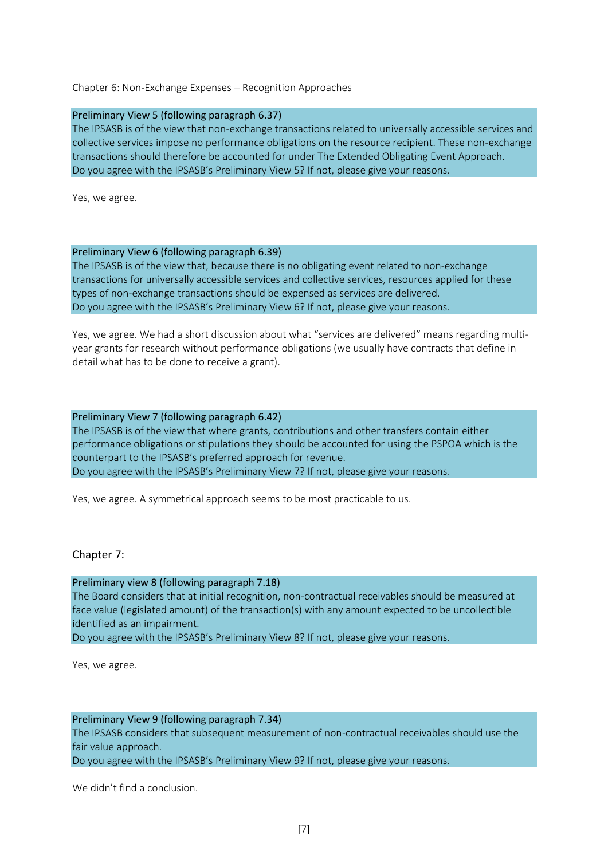# Chapter 6: Non-Exchange Expenses – Recognition Approaches

#### Preliminary View 5 (following paragraph 6.37)

The IPSASB is of the view that non-exchange transactions related to universally accessible services and collective services impose no performance obligations on the resource recipient. These non-exchange transactions should therefore be accounted for under The Extended Obligating Event Approach. Do you agree with the IPSASB's Preliminary View 5? If not, please give your reasons.

Yes, we agree.

### Preliminary View 6 (following paragraph 6.39)

The IPSASB is of the view that, because there is no obligating event related to non-exchange transactions for universally accessible services and collective services, resources applied for these types of non-exchange transactions should be expensed as services are delivered. Do you agree with the IPSASB's Preliminary View 6? If not, please give your reasons.

Yes, we agree. We had a short discussion about what "services are delivered" means regarding multiyear grants for research without performance obligations (we usually have contracts that define in detail what has to be done to receive a grant).

#### Preliminary View 7 (following paragraph 6.42)

The IPSASB is of the view that where grants, contributions and other transfers contain either performance obligations or stipulations they should be accounted for using the PSPOA which is the counterpart to the IPSASB's preferred approach for revenue. Do you agree with the IPSASB's Preliminary View 7? If not, please give your reasons.

Yes, we agree. A symmetrical approach seems to be most practicable to us.

### Chapter 7:

#### Preliminary view 8 (following paragraph 7.18)

The Board considers that at initial recognition, non-contractual receivables should be measured at face value (legislated amount) of the transaction(s) with any amount expected to be uncollectible identified as an impairment.

Do you agree with the IPSASB's Preliminary View 8? If not, please give your reasons.

Yes, we agree.

# Preliminary View 9 (following paragraph 7.34) The IPSASB considers that subsequent measurement of non-contractual receivables should use the fair value approach.

Do you agree with the IPSASB's Preliminary View 9? If not, please give your reasons.

We didn't find a conclusion.